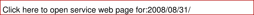|  | Click here to open service web page for:2008/08/31/ |
|--|-----------------------------------------------------|
|  |                                                     |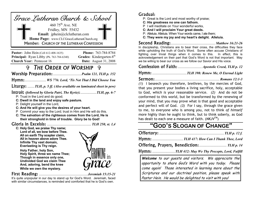| Grace Lutheran Church & School                                                                     |                                                                    |  |  |  |
|----------------------------------------------------------------------------------------------------|--------------------------------------------------------------------|--|--|--|
|                                                                                                    |                                                                    |  |  |  |
| 460 $75^{\text{th}}$ Ave, NE<br>Fridley, MN 55432<br>Email: jphein@clclutheran.com                 |                                                                    |  |  |  |
| Home Page: www.CLCGraceLutheranChurch.org<br>Member: CHURCH OF THE LUTHERAN CONFESSION             |                                                                    |  |  |  |
|                                                                                                    |                                                                    |  |  |  |
|                                                                                                    |                                                                    |  |  |  |
| <b>Pastor:</b> John Hein (Cell 612-408-1635)<br><b>Principal:</b> Ryan Libby (Ph. $763-784-6340$ ) | <b>Phone: 763-784-8784</b><br>Grades: Kindergarten-8 <sup>th</sup> |  |  |  |
| <b>Church Year: Pentecost 16</b>                                                                   | <b>Date:</b> August 31, 2008                                       |  |  |  |
| <b>THE ORDER OF WORSHIP TO</b>                                                                     |                                                                    |  |  |  |
|                                                                                                    |                                                                    |  |  |  |
| <b>Hymn:</b> WS 776: Lord, 'Tis Not That I Did Choose You                                          |                                                                    |  |  |  |

*(followed by Gloria Patri, The Kyrie)*:..................*TLH, pp. 6-7*

- P: Trust in the Lord and do good;
- **C: Dwell in the land and enjoy safe pasture.**
- P: Delight yourself in the Lord,
- **C: And He will give you the desires of your heart.**
- P Commit your way to the Lord; trust in Him and He will do this.
- **C: The salvation of the righteous comes from the Lord, He is their stronghold in time of trouble. Glory be to God!**

#### .................................................. *TLH 250, st. 1,4*

**C: Holy God, we praise Thy name; Lord of all, we bow before Thee. All on earth Thy scepter claim, All in heaven above adore Thee. Infinite Thy vast domain, Everlasting is Thy reign.** 

 **Holy Father, holy Son, Holy Spirit, three we name Thee; Though in essence only one, Undivided God we claim Thee And, adoring, bend the knee While we own the mystery.** 

# .......................................................*Jeremiah 15:15-21*

It's quite unpopular in our day to stand up for God's Word. Jeremiah, faced with similar circumstances, is reminded and comforted that he is God's own.

#### Gradual:

- P: Great is the Lord and most worthy of praise;
- **C: His greatness no one can fathom.**
- P I will meditate on Your wonderful works,
- **C: And I will proclaim Your great deeds.**
- P: Alleluia. Alleluia. When Your words came, I ate them;
- **C: They were my joy and my heart's delight. Alleluia.**

.................................................. *Matthew 16:21-26*  In discipleship, Christians are to bear their cross, the difficulties they face while upholding the truth of God's Word. Some often accuse Christians of fighting over trivial things when it comes to this. In effect, this is acknowledgement on their part that God's Word is not that important. May we be willing to bear our cross as we follow our Savior and His voice.

Confession of Faith: ......................... *Apostolic Creed, TLH p. 12* 

.......................................*TLH 398: Renew Me, O Eternal Light* 

......................................................................... *Romans 12:1-3* 

*(1)* I beseech you therefore, brethren, by the mercies of God, that you present your bodies a living sacrifice, holy, acceptable to God, *which is* your reasonable service. *(2)* And do not be conformed to this world, but be transformed by the renewing of your mind, that you may prove what *is* that good and acceptable and perfect will of God. *(3)* For I say, through the grace given to me, to everyone who is among you, not to think *of himself*  more highly than he ought to think, but to think soberly, as God has dealt to each one a measure of faith. (*NKJVTM*)

# **"GOD'S SLOGAN OF CHANGE"**

|--|--|--|--|--|

|--|--|--|--|

..........................*TLH 412: May We Thy Precepts, Lord, Fulfill* 

**Welcome** to our guests and visitors. We appreciate the opportunity to share God's Word with you today. Please come again! Those interested in learning more about the Scriptures and our doctrinal position, please speak with Pastor Hein. He would be delighted to visit with you!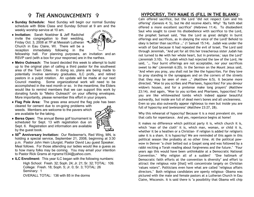## *THE ANNOUNCEMENTS P*

- ♦ **Sunday Schedule:** Next Sunday will begin our normal Sunday schedule with Bible Class and Sunday School at 9 am and the weekly worship service at 10 am.
- ♦ **Invitation:** Sarah Noeldner & Jeff Radichel invite the congregation to their wedding, Friday Oct. 3, 2008 at 7P at Messiah Lutheran Church in Eau Claire, WI. There will be a reception immediately following in the



fellowship hall. For planning purposes, an invitation and an RSVP card (with a box for your response) are in the narthex.

- ♦ **Metro Outreach:** The board decided this week to attempt to build up to the original plan of calling a third pastor for the southwest area of the Twin Cities. In doing so, plans are being made to potentially involve seminary graduates, ILC profs., and retired pastors in a pulpit rotation. An update will be made at our next Council meeting. Some organizational work will need to be accomplished in the next month or so. In the meantime, the Elders would like to remind members that we can support this work by donating funds to "Metro Outreach" on your offering envelopes. More importantly, please remember this effort in your prayers.
- ♦ **Flag Pole Area:** The grass area around the flag pole has been cleared for cement due to on-going problems with weeds. Members are welcome to the pavers which are available for the taking.



- ♦ **Berea Open:** The annual Berea golf tournament is scheduled for Sept. 13 with registration due on Sept. 6. Registration and information are available by the guest book.
- ♦ **50th Anniversary Invitation:** Our Redeemer's, Red Wing, MN, is holding a special service, September 21, 2008, beginning at 3:30 p.m. Pastor John Hein Liturgist, Pastor David Lau guest Speaker. Meal follows. For those attending our ladies would like a guess as to how many folks may be coming. You may email your intention to Pastor Rick Grams at rrgrams1534@yahoo.com.
- ♦ **ILC Enrollment:** This year ILC began with the following numbers:

High School: Fresh. 32; Soph. 24; Jr. 21; Sr. 32; TOTAL: 109. College: Fresh. 18; Soph. 5; Jr. 0; Sr. 3; TOTAL: 26 Seminary: 1 OVERALL TOTAL: 136 with 85 in the dorms

#### **HYPOCRISY, THY NAME IS (FILL IN THE BLANK):**

Cain offered sacrifice, but the Lord "did not respect Cain and his offering" (Genesis 4: 5), but He did receive Abel's. Why? "By faith Abel offered a more excellent sacrifice" (Hebrews 11:4). To disobedient Saul who sought to cover his disobedience with sacrifice to the Lord, the prophet Samuel said, "Has the Lord as great delight in burnt offerings and sacrifices, as in obeying the voice of the Lord? Behold to obey is better than sacrifice …" (1 Samuel 15:14).Judah was under the wrath of God because it had repeated the evil of Israel. The Lord said through Jeremiah, "'And yet for all this her treacherous sister Judah has not turned to Me with her whole heart, but in pretense,' says the Lord" (Jeremiah 3:10). To Judah which had rejected the law of the Lord, He said, "… Your burnt offerings are not acceptable, nor your sacrifices sweet to Me" (Jeremiah 6:20). In the Sermon on the Mount Jesus said, "And when you pray, you shall not be like the hypocrites. For they love to pray standing in the synagogues and on the corners of the streets that they may be seen of men …" (Matthew 6:5). It became more directed. "Woe to you scribes and Pharisees, hypocrites! For you devour widow's houses, and for a pretense make long prayers" (Matthew 23:14). And again, "Woe to you scribes and Pharisees, hypocrites! For you are like whitewashed tombs which indeed appear beautiful outwardly, but inside are full of dead men's bones and all uncleanness. Even so you also outwardly appear righteous to men but inside you are full of hypocrisy and lawlessness" (Matthew 23:27, 28).

Why this rehearsal of hypocrisy? Because it is a most prevalent sin, one that calls for repentance. And yes, repentance begins at home!

It makes no difference which political party it is, which church it is, which "man of the cloth" it is, which man, woman, or child it is, whether it be a heathen or a Christian- if religion is added for religion's sake it is a sham. It is hypocrisy! We are reminded of this again in this political season like probably at no other time. At the political powwow in Denver "a choir belted out a Gospel song and was followed by a rabbi reciting a Torah reading about forgiveness and the future." "Four years ago this would have been unthinkable at a Democratic National Convention." Why religion all of a sudden? "One hallmark of Democratic faith efforts at the convention is diversity" and effort to attract the religious vote [that] will concentrate largely on Christian 'values voters'". Politicians even have what are called "religious affairs directors." Both religious candidates are openly religious- Obama was pictured with the male and female pastors at a Lutheran Church in Eau Claire, Wisconsin. It is said there is "a possibility that Obama will chip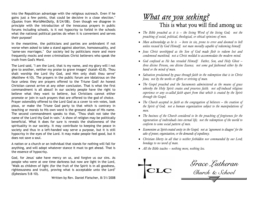into the Republican advantage with the religious outreach. Even if he gains just a few points, that could be decisive in a close election." (Quotes from *WorldNetDaily*, 8/24/08). Even though we disagree in principle with the introduction of the innocuous prayers in public forums including schools, is it not hypocrisy to forbid in the schools what the national political parties do when it is convenient and serves their purpose?

In the meantime, the politicians and parties are ambivalent if not worse when asked to take a stand against abortion, homosexuality, and "same-sex marriages." Our society led by politicians more and more frequently mocks and even criminalizes Christ believers who speak the truth from God's Word.

The Lord said, "I am the Lord, that is my name, and my glory will I not give to another, neither my praise to grave images" (Isaiah 42:8). Thou shalt worship the Lord thy God, and Him only shalt thou serve" (Matthew 4:10). The prayers in the public forum are idolatrous on the face unless they are prayers offered to the Triune God! An honest Christian cannot arrive at any other conclusion. That is what the first commandment is all about! In our society people have the right to believe what they want to believe, but Christians cannot either promote or join in such prayers that are offered to the god of choice. Prayer ostensibly offered to the Lord God as a cover to win votes, look pious, or make the Triune God party to that which is contrary in teaching or morals to His own word is the grossest abuse of His name. The second commandment speaks to that, "Thou shalt not take the name of the Lord thy God in vain." A show of religion may be politically beneficial. What it does for sure is reveals the shallowness of the spirituality in our society. It may contribute to keeping the peace in society and thus in a left-handed way serve a purpose, but it is still hypocrisy in the eyes of the Lord. It may make people feel good, but it does not save a soul.

A nation or a church or an individual that stands for nothing will fall for anything, and will adopt whatever stance it must to get ahead. That is the essence of hypocrisy.

God, for Jesus' sake have mercy on us, and forgive us our sins. As people who were at one time darkness but now are light in the Lord, "Walk as children of light (for the fruit of the Spirit is in all goodness, righteousness and truth), proving what is acceptable unto the Lord" (Ephesians 5:8–10).

Written by Rev. Daniel Fleischer, 8/31/2008

# <u>What are you seeking?</u> This is what you will find among us:

- *The Bible preached as it is the living Word of the living God; not the preaching of social, political, theological, or ethical opinions of men.*
- *Man acknowledge as he is born in sin, prone to error and doomed to hell unless rescued by God Himself; not man morally capable of redeeming himself.*
- *Jesus Christ worshipped as the Son of God made flesh to redeem lost and condemned mankind; not a Christ molded to accommodate the modern mind.*
- *God confessed as He has revealed Himself: Father, Son, and Holy Ghost three divine Persons, one divine Essence; not some god fashioned either by the hand or the mind of man.*
- *Salvation proclaimed by grace through faith in the redemption that is in Christ Jesus; not by the works or efforts or striving of man.*
- *The Gospel preached and the Sacraments administered as the means of grace whereby the Holy Spirit creates and preserves faith; not self-induced religious experience or any so-called faith apart from that which is created by the Spirit through the Gospel.*
- *The Church accepted in faith as the congregation of believers the creation of the Spirit of God; not a human organization subject to the manipulations of men.*
- *The business of the Church considered to be the preaching of forgiveness for the regeneration of individuals into eternal life; not the redemption of the world to conform to some social pattern of men.*
- *Ecumenism as Spirit-created unity in the Gospel; not as 'agreement to disagree' for the sake of power, organization, or the demands of expediency.*
- *Christian liberty in all that is neither forbidden nor commanded by our Lord; bondage to no word of man.*
- *All the Bible teaches nothing more, nothing less.*